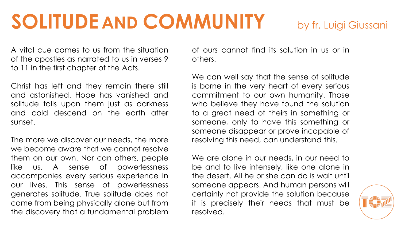# **SOLITUDE AND COMMUNITY** by fr. Luigi Giussani

A vital cue comes to us from the situation of the apostles as narrated to us in verses 9 to 11 in the first chapter of the Acts.

Christ has left and they remain there still and astonished. Hope has vanished and solitude falls upon them just as darkness and cold descend on the earth after sunset.

The more we discover our needs, the more we become aware that we cannot resolve them on our own. Nor can others, people like us. A sense of powerlessness accompanies every serious experience in our lives. This sense of powerlessness generates solitude. True solitude does not come from being physically alone but from the discovery that a fundamental problem

of ours cannot find its solution in us or in others.

We can well say that the sense of solitude is borne in the very heart of every serious commitment to our own humanity. Those who believe they have found the solution to a great need of theirs in something or someone, only to have this something or someone disappear or prove incapable of resolving this need, can understand this.

We are alone in our needs, in our need to be and to live intensely, like one alone in the desert. All he or she can do is wait until someone appears. And human persons will certainly not provide the solution because it is precisely their needs that must be resolved.

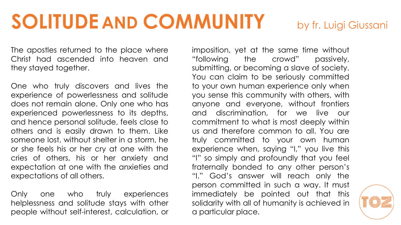# **SOLITUDE AND COMMUNITY** by fr. Luigi Giussani

The apostles returned to the place where Christ had ascended into heaven and they stayed together.

One who truly discovers and lives the experience of powerlessness and solitude does not remain alone. Only one who has experienced powerlessness to its depths, and hence personal solitude, feels close to others and is easily drawn to them. Like someone lost, without shelter in a storm, he or she feels his or her cry at one with the cries of others, his or her anxiety and expectation at one with the anxieties and expectations of all others.

Only one who truly experiences helplessness and solitude stays with other people without self-interest, calculation, or

imposition, yet at the same time without "following the crowd" passively, submitting, or becoming a slave of society. You can claim to be seriously committed to your own human experience only when you sense this community with others, with anyone and everyone, without frontiers and discrimination, for we live our commitment to what is most deeply within us and therefore common to all. You are truly committed to your own human experience when, saying "I," you live this "I" so simply and profoundly that you feel fraternally bonded to any other person's "I." God's answer will reach only the person committed in such a way. It must immediately be pointed out that this solidarity with all of humanity is achieved in a particular place.